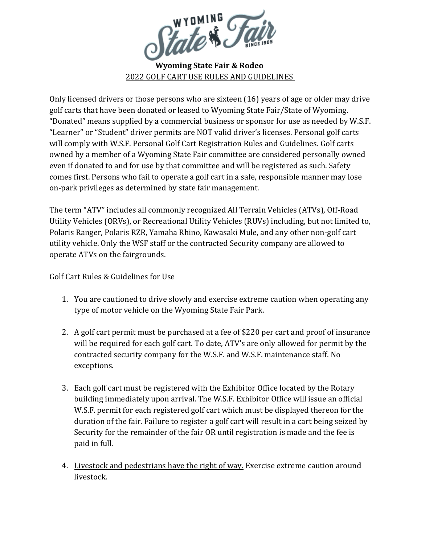

Only licensed drivers or those persons who are sixteen (16) years of age or older may drive golf carts that have been donated or leased to Wyoming State Fair/State of Wyoming. "Donated" means supplied by a commercial business or sponsor for use as needed by W.S.F. "Learner" or "Student" driver permits are NOT valid driver's licenses. Personal golf carts will comply with W.S.F. Personal Golf Cart Registration Rules and Guidelines. Golf carts owned by a member of a Wyoming State Fair committee are considered personally owned even if donated to and for use by that committee and will be registered as such. Safety comes first. Persons who fail to operate a golf cart in a safe, responsible manner may lose on-park privileges as determined by state fair management.

The term "ATV" includes all commonly recognized All Terrain Vehicles (ATVs), Off-Road Utility Vehicles (ORVs), or Recreational Utility Vehicles (RUVs) including, but not limited to, Polaris Ranger, Polaris RZR, Yamaha Rhino, Kawasaki Mule, and any other non-golf cart utility vehicle. Only the WSF staff or the contracted Security company are allowed to operate ATVs on the fairgrounds.

## Golf Cart Rules & Guidelines for Use

- 1. You are cautioned to drive slowly and exercise extreme caution when operating any type of motor vehicle on the Wyoming State Fair Park.
- 2. A golf cart permit must be purchased at a fee of \$220 per cart and proof of insurance will be required for each golf cart. To date, ATV's are only allowed for permit by the contracted security company for the W.S.F. and W.S.F. maintenance staff. No exceptions.
- 3. Each golf cart must be registered with the Exhibitor Office located by the Rotary building immediately upon arrival. The W.S.F. Exhibitor Office will issue an official W.S.F. permit for each registered golf cart which must be displayed thereon for the duration of the fair. Failure to register a golf cart will result in a cart being seized by Security for the remainder of the fair OR until registration is made and the fee is paid in full.
- 4. Livestock and pedestrians have the right of way. Exercise extreme caution around livestock.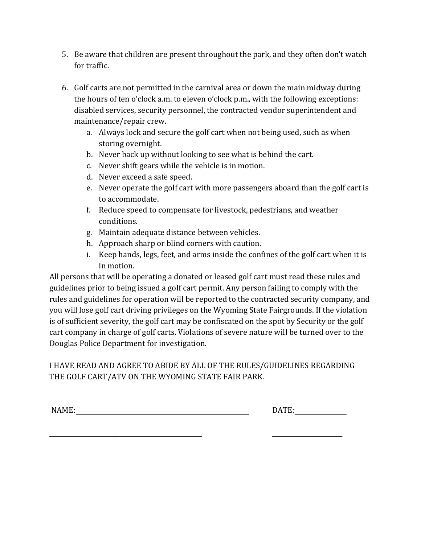- 5. Be aware that children are present throughout the park, and they often don't watch for traffic.
- 6. Golf carts are not permitted in the carnival area or down the main midway during the hours of ten o'clock a.m. to eleven o'clock p.m., with the following exceptions: disabled services, security personnel, the contracted vendor superintendent and maintenance/repair crew.
	- a. Always lock and secure the golf cart when not being used, such as when storing overnight.
	- b. Never back up without looking to see what is behind the cart.
	- c. Never shift gears while the vehicle is in motion.
	- d. Never exceed a safe speed.
	- e. Never operate the golf cart with more passengers aboard than the golf cart is to accommodate.
	- f. Reduce speed to compensate for livestock, pedestrians, and weather conditions.
	- g. Maintain adequate distance between vehicles.
	- h. Approach sharp or blind corners with caution.
	- i. Keep hands, legs, feet, and arms inside the confines of the golf cart when it is in motion.

All persons that will be operating a donated or leased golf cart must read these rules and guidelines prior to being issued a golf cart permit. Any person failing to comply with the rules and guidelines for operation will be reported to the contracted security company, and you will lose golf cart driving privileges on the Wyoming State Fairgrounds. If the violation is of sufficient severity, the golf cart may be confiscated on the spot by Security or the golf cart company in charge of golf carts. Violations of severe nature will be turned over to the Douglas Police Department for investigation.

## I HAVE READ AND AGREE TO ABIDE BY ALL OF THE RULES/GUIDELINES REGARDING THE GOLF CART/ATV ON THE WYOMING STATE FAIR PARK.

NAME: DATE:

 $\mathcal{L}_\text{max} = \mathcal{L}_\text{max} = \mathcal{L}_\text{max} = \mathcal{L}_\text{max} = \mathcal{L}_\text{max} = \mathcal{L}_\text{max} = \mathcal{L}_\text{max} = \mathcal{L}_\text{max} = \mathcal{L}_\text{max} = \mathcal{L}_\text{max} = \mathcal{L}_\text{max} = \mathcal{L}_\text{max} = \mathcal{L}_\text{max} = \mathcal{L}_\text{max} = \mathcal{L}_\text{max} = \mathcal{L}_\text{max} = \mathcal{L}_\text{max} = \mathcal{L}_\text{max} = \mathcal{$